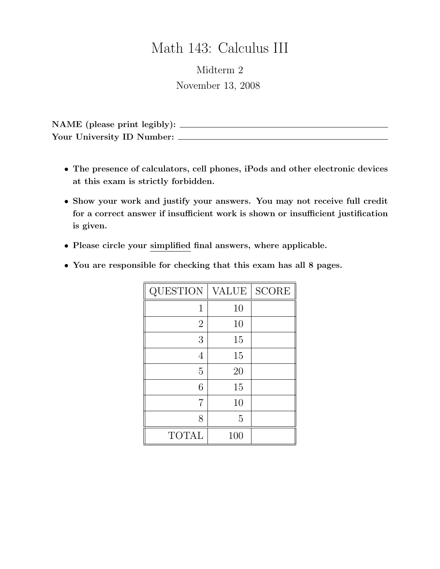## Math 143: Calculus III

Midterm 2 November 13, 2008

NAME (please print legibly): Your University ID Number:

- The presence of calculators, cell phones, iPods and other electronic devices at this exam is strictly forbidden.
- Show your work and justify your answers. You may not receive full credit for a correct answer if insufficient work is shown or insufficient justification is given.
- Please circle your simplified final answers, where applicable.
- You are responsible for checking that this exam has all 8 pages.

| QUESTION       | <b>VALUE</b> | <b>SCORE</b> |
|----------------|--------------|--------------|
| 1              | 10           |              |
| $\overline{2}$ | 10           |              |
| 3              | 15           |              |
| 4              | 15           |              |
| 5              | 20           |              |
| 6              | 15           |              |
| 7              | 10           |              |
| 8              | 5            |              |
| <b>TOTAL</b>   | 100          |              |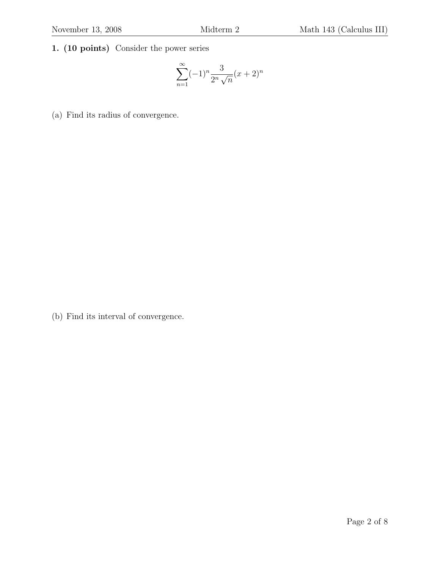1. (10 points) Consider the power series

$$
\sum_{n=1}^{\infty} (-1)^n \frac{3}{2^n \sqrt{n}} (x+2)^n
$$

(a) Find its radius of convergence.

(b) Find its interval of convergence.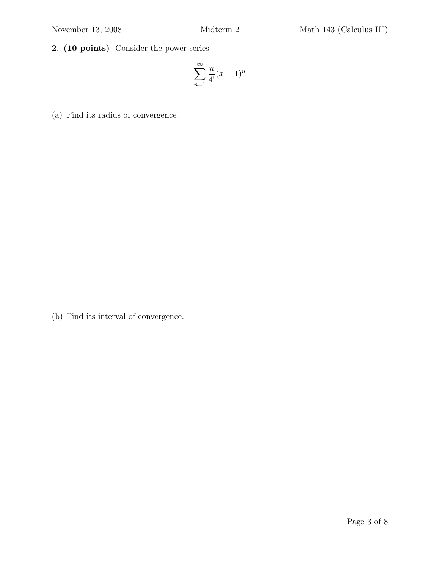## 2. (10 points) Consider the power series

$$
\sum_{n=1}^{\infty} \frac{n}{4!} (x-1)^n
$$

(a) Find its radius of convergence.

(b) Find its interval of convergence.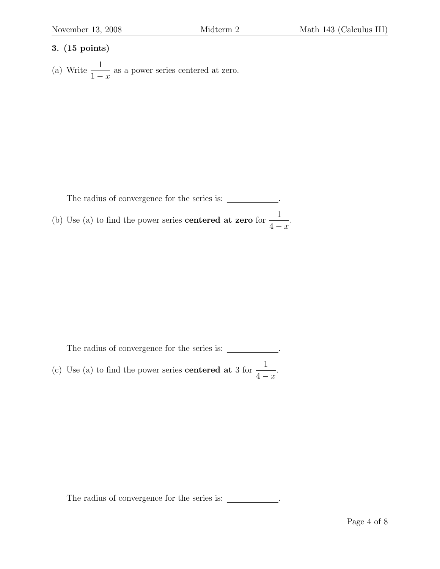## 3. (15 points)

(a) Write  $\frac{1}{1}$  $1 - x$ as a power series centered at zero.

The radius of convergence for the series is: \_\_\_\_\_\_\_\_\_\_\_. (b) Use (a) to find the power series **centered at zero** for  $\frac{1}{4}$  $4 - x$ .

The radius of convergence for the series is:  $\_\_\_\_\_\_\_\_\_\$ . (c) Use (a) to find the power series **centered at** 3 for  $\frac{1}{4}$  $4 - x$ .

The radius of convergence for the series is:  $\_\_\_\_\_\_\_\_\_\_\_\_\_\_\_\_\_\_\_\_\_\_\_\_\_\_\_\_\_\_\_.\$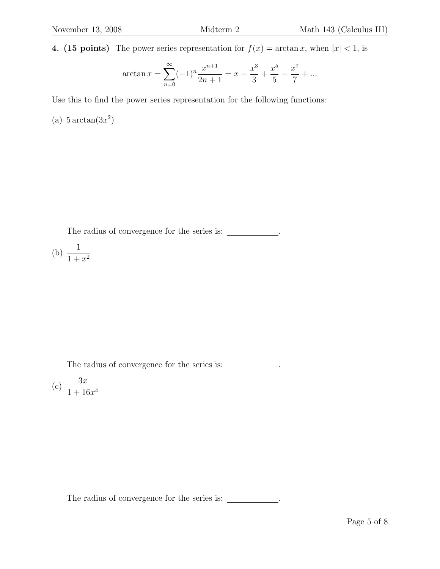4. (15 points) The power series representation for  $f(x) = \arctan x$ , when  $|x| < 1$ , is

$$
\arctan x = \sum_{n=0}^{\infty} (-1)^n \frac{x^{n+1}}{2n+1} = x - \frac{x^3}{3} + \frac{x^5}{5} - \frac{x^7}{7} + \dots
$$

Use this to find the power series representation for the following functions:

(a)  $5 \arctan(3x^2)$ 

The radius of convergence for the series is: \_\_\_\_\_\_\_\_\_\_\_.

$$
(b) \ \frac{1}{1+x^2}
$$

The radius of convergence for the series is: \_\_\_\_\_\_\_\_\_\_\_\_.

$$
(c) \frac{3x}{1+16x^4}
$$

The radius of convergence for the series is:  $\_\_\_\_\_\_\_\_\_\_\$ .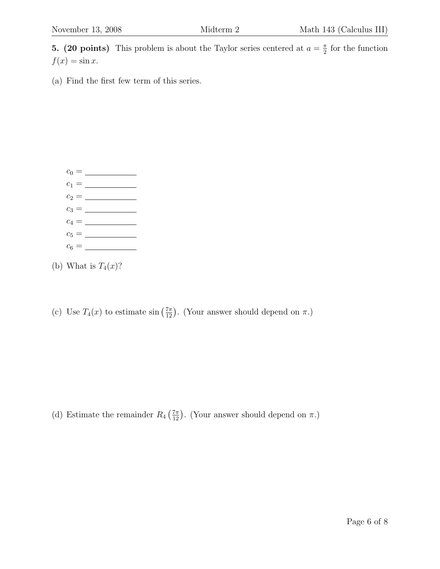**5.** (20 points) This problem is about the Taylor series centered at  $a = \frac{\pi}{2}$  $\frac{\pi}{2}$  for the function  $f(x) = \sin x.$ 

(a) Find the first few term of this series.



(b) What is  $T_4(x)$ ?

(c) Use  $T_4(x)$  to estimate  $\sin\left(\frac{7\pi}{12}\right)$ . (Your answer should depend on  $\pi$ .)

(d) Estimate the remainder  $R_4\left(\frac{7\pi}{12}\right)$ . (Your answer should depend on  $\pi$ .)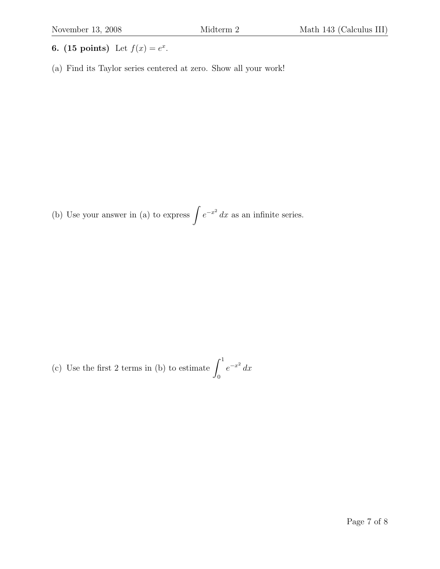- 6. (15 points) Let  $f(x) = e^x$ .
- (a) Find its Taylor series centered at zero. Show all your work!

(b) Use your answer in (a) to express  $\int e^{-x^2} dx$  as an infinite series.

(c) Use the first 2 terms in (b) to estimate  $\int_1^1$ 0  $e^{-x^2} dx$